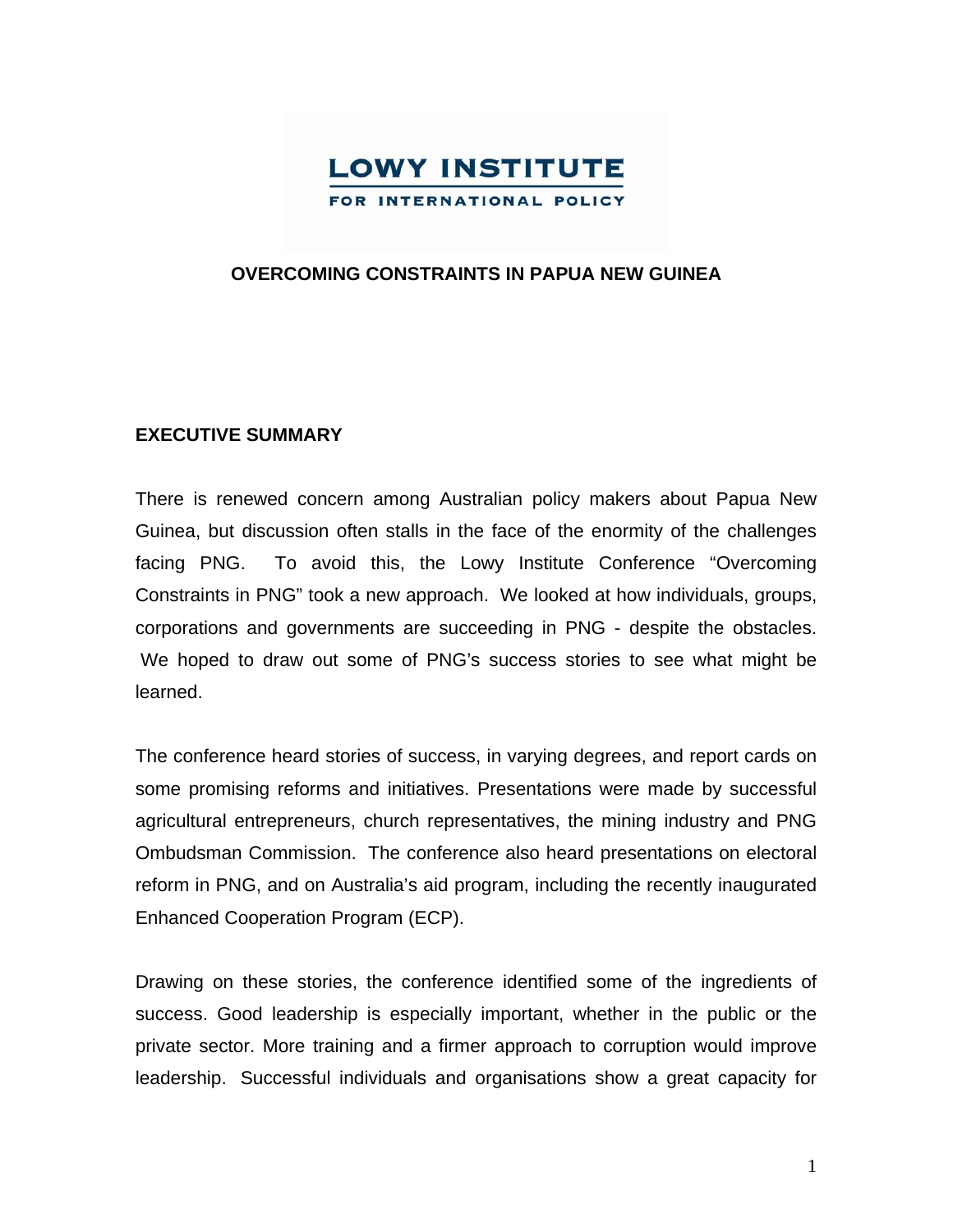

### **OVERCOMING CONSTRAINTS IN PAPUA NEW GUINEA**

### **EXECUTIVE SUMMARY**

There is renewed concern among Australian policy makers about Papua New Guinea, but discussion often stalls in the face of the enormity of the challenges facing PNG. To avoid this, the Lowy Institute Conference "Overcoming Constraints in PNG" took a new approach. We looked at how individuals, groups, corporations and governments are succeeding in PNG - despite the obstacles. We hoped to draw out some of PNG's success stories to see what might be learned.

The conference heard stories of success, in varying degrees, and report cards on some promising reforms and initiatives. Presentations were made by successful agricultural entrepreneurs, church representatives, the mining industry and PNG Ombudsman Commission. The conference also heard presentations on electoral reform in PNG, and on Australia's aid program, including the recently inaugurated Enhanced Cooperation Program (ECP).

Drawing on these stories, the conference identified some of the ingredients of success. Good leadership is especially important, whether in the public or the private sector. More training and a firmer approach to corruption would improve leadership. Successful individuals and organisations show a great capacity for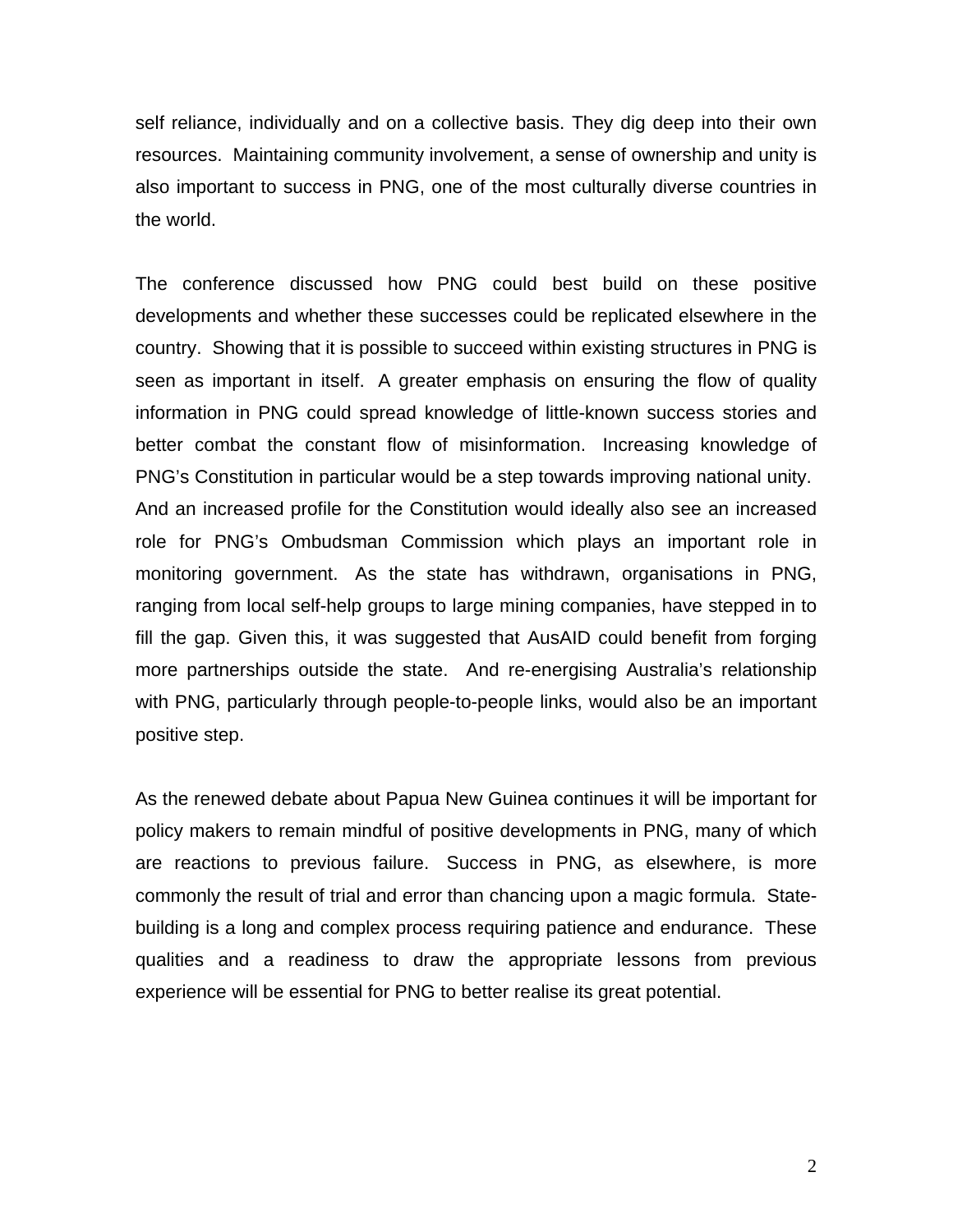self reliance, individually and on a collective basis. They dig deep into their own resources. Maintaining community involvement, a sense of ownership and unity is also important to success in PNG, one of the most culturally diverse countries in the world.

The conference discussed how PNG could best build on these positive developments and whether these successes could be replicated elsewhere in the country. Showing that it is possible to succeed within existing structures in PNG is seen as important in itself. A greater emphasis on ensuring the flow of quality information in PNG could spread knowledge of little-known success stories and better combat the constant flow of misinformation. Increasing knowledge of PNG's Constitution in particular would be a step towards improving national unity. And an increased profile for the Constitution would ideally also see an increased role for PNG's Ombudsman Commission which plays an important role in monitoring government. As the state has withdrawn, organisations in PNG, ranging from local self-help groups to large mining companies, have stepped in to fill the gap. Given this, it was suggested that AusAID could benefit from forging more partnerships outside the state. And re-energising Australia's relationship with PNG, particularly through people-to-people links, would also be an important positive step.

As the renewed debate about Papua New Guinea continues it will be important for policy makers to remain mindful of positive developments in PNG, many of which are reactions to previous failure. Success in PNG, as elsewhere, is more commonly the result of trial and error than chancing upon a magic formula. Statebuilding is a long and complex process requiring patience and endurance. These qualities and a readiness to draw the appropriate lessons from previous experience will be essential for PNG to better realise its great potential.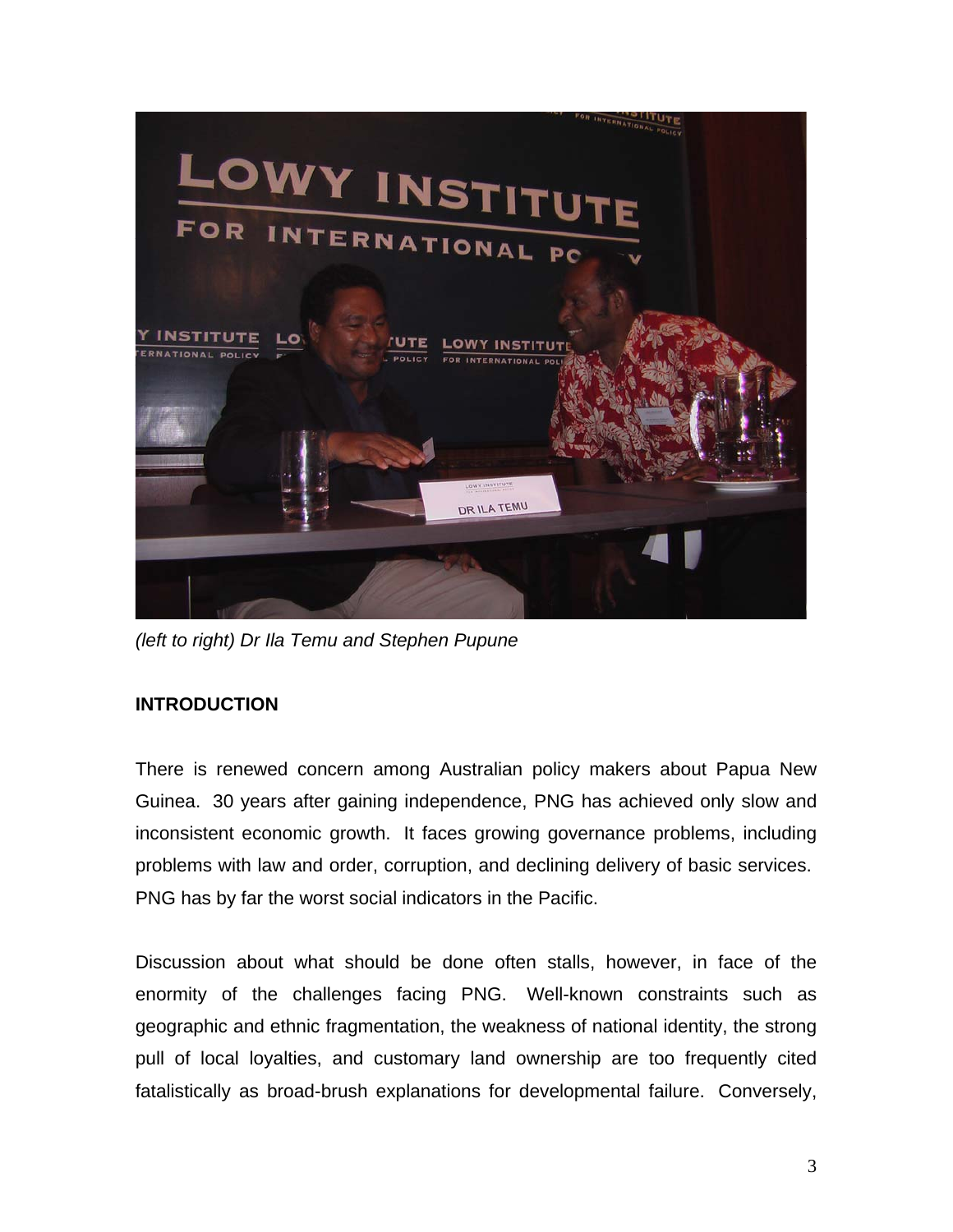

*(left to right) Dr Ila Temu and Stephen Pupune* 

# **INTRODUCTION**

There is renewed concern among Australian policy makers about Papua New Guinea. 30 years after gaining independence, PNG has achieved only slow and inconsistent economic growth. It faces growing governance problems, including problems with law and order, corruption, and declining delivery of basic services. PNG has by far the worst social indicators in the Pacific.

Discussion about what should be done often stalls, however, in face of the enormity of the challenges facing PNG. Well-known constraints such as geographic and ethnic fragmentation, the weakness of national identity, the strong pull of local loyalties, and customary land ownership are too frequently cited fatalistically as broad-brush explanations for developmental failure. Conversely,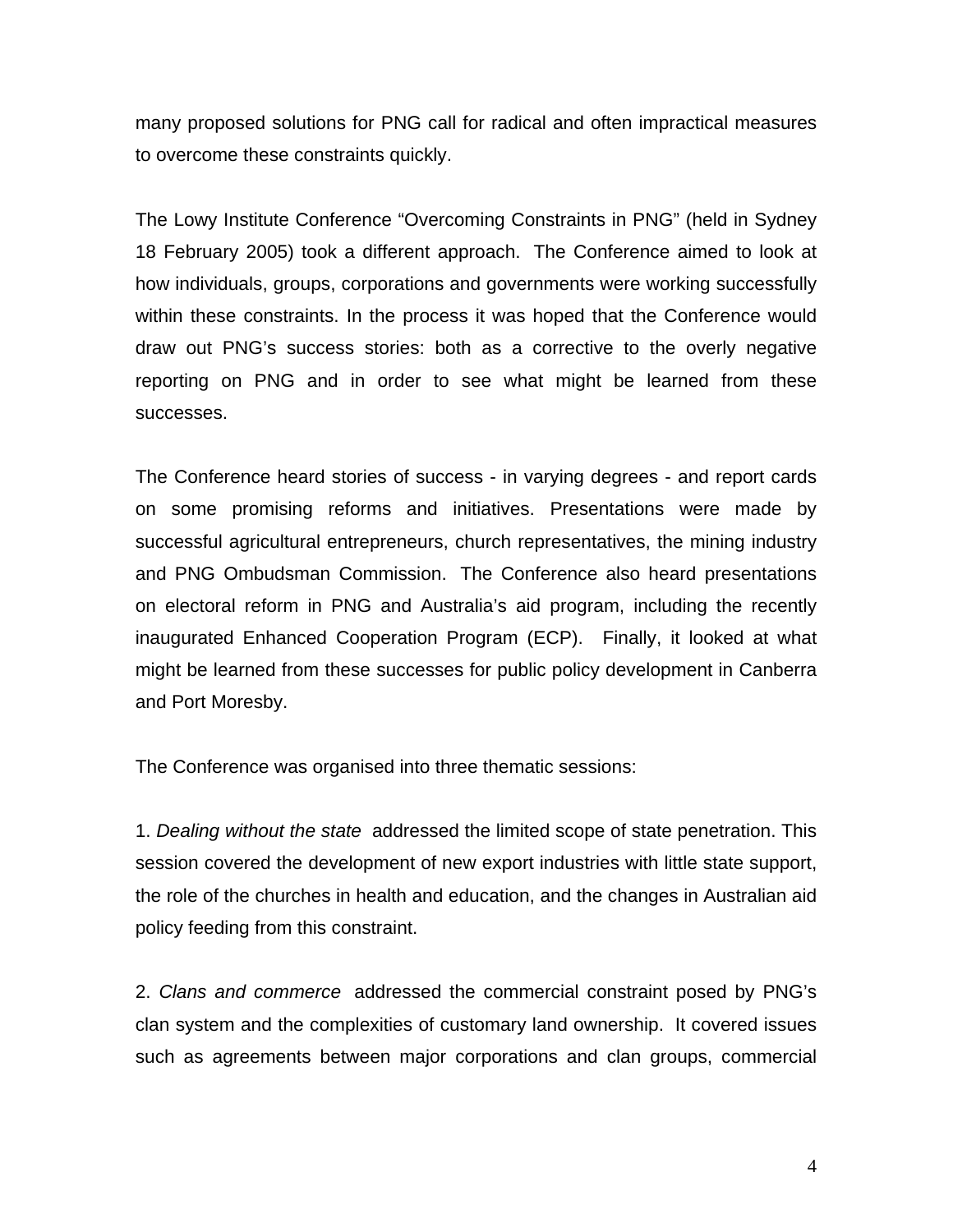many proposed solutions for PNG call for radical and often impractical measures to overcome these constraints quickly.

The Lowy Institute Conference "Overcoming Constraints in PNG" (held in Sydney 18 February 2005) took a different approach. The Conference aimed to look at how individuals, groups, corporations and governments were working successfully within these constraints. In the process it was hoped that the Conference would draw out PNG's success stories: both as a corrective to the overly negative reporting on PNG and in order to see what might be learned from these successes.

The Conference heard stories of success - in varying degrees - and report cards on some promising reforms and initiatives. Presentations were made by successful agricultural entrepreneurs, church representatives, the mining industry and PNG Ombudsman Commission. The Conference also heard presentations on electoral reform in PNG and Australia's aid program, including the recently inaugurated Enhanced Cooperation Program (ECP). Finally, it looked at what might be learned from these successes for public policy development in Canberra and Port Moresby.

The Conference was organised into three thematic sessions:

1. *Dealing without the state* addressed the limited scope of state penetration. This session covered the development of new export industries with little state support, the role of the churches in health and education, and the changes in Australian aid policy feeding from this constraint.

2. *Clans and commerce* addressed the commercial constraint posed by PNG's clan system and the complexities of customary land ownership. It covered issues such as agreements between major corporations and clan groups, commercial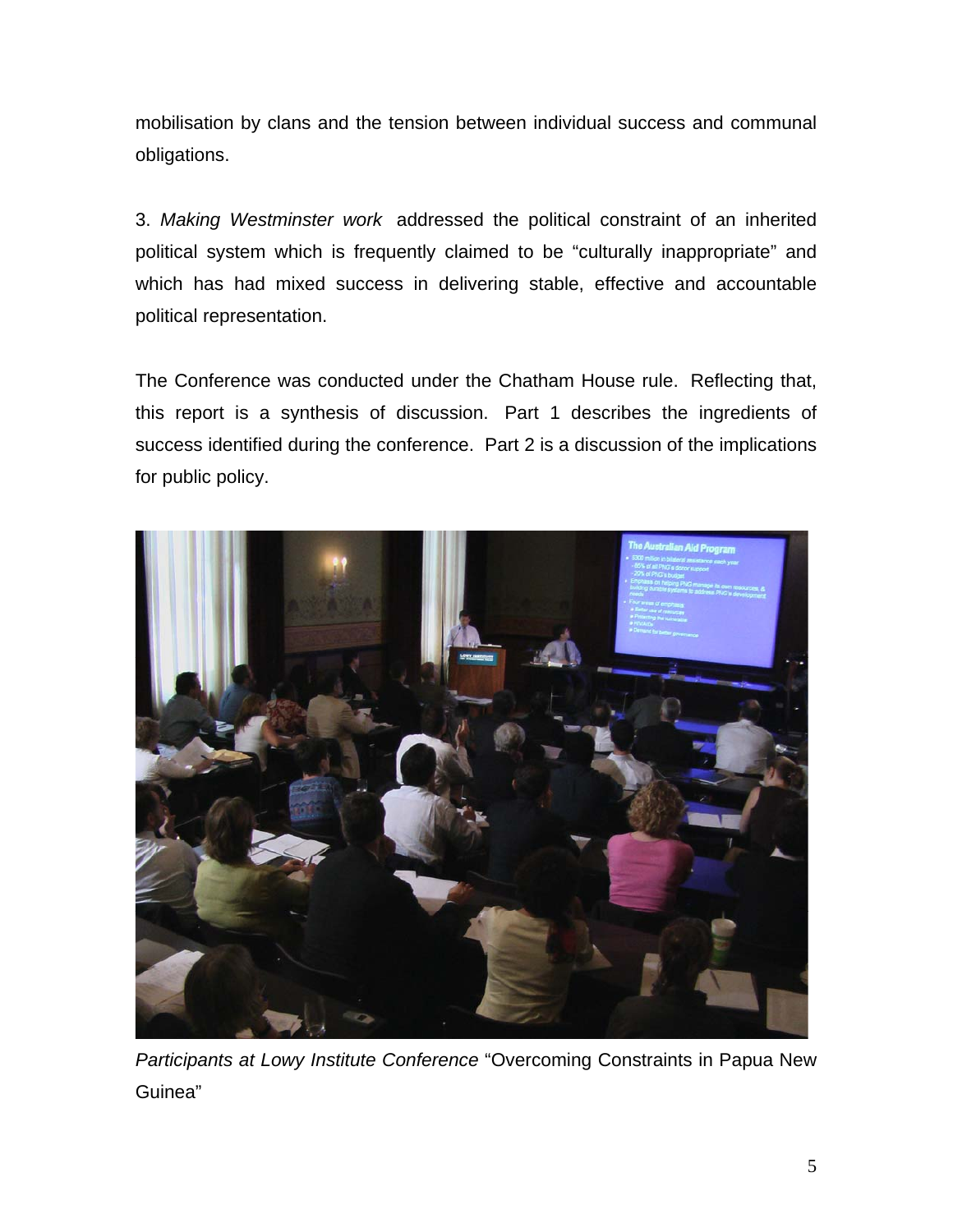mobilisation by clans and the tension between individual success and communal obligations.

3. *Making Westminster work* addressed the political constraint of an inherited political system which is frequently claimed to be "culturally inappropriate" and which has had mixed success in delivering stable, effective and accountable political representation.

The Conference was conducted under the Chatham House rule. Reflecting that, this report is a synthesis of discussion. Part 1 describes the ingredients of success identified during the conference. Part 2 is a discussion of the implications for public policy.



*Participants at Lowy Institute Conference* "Overcoming Constraints in Papua New Guinea"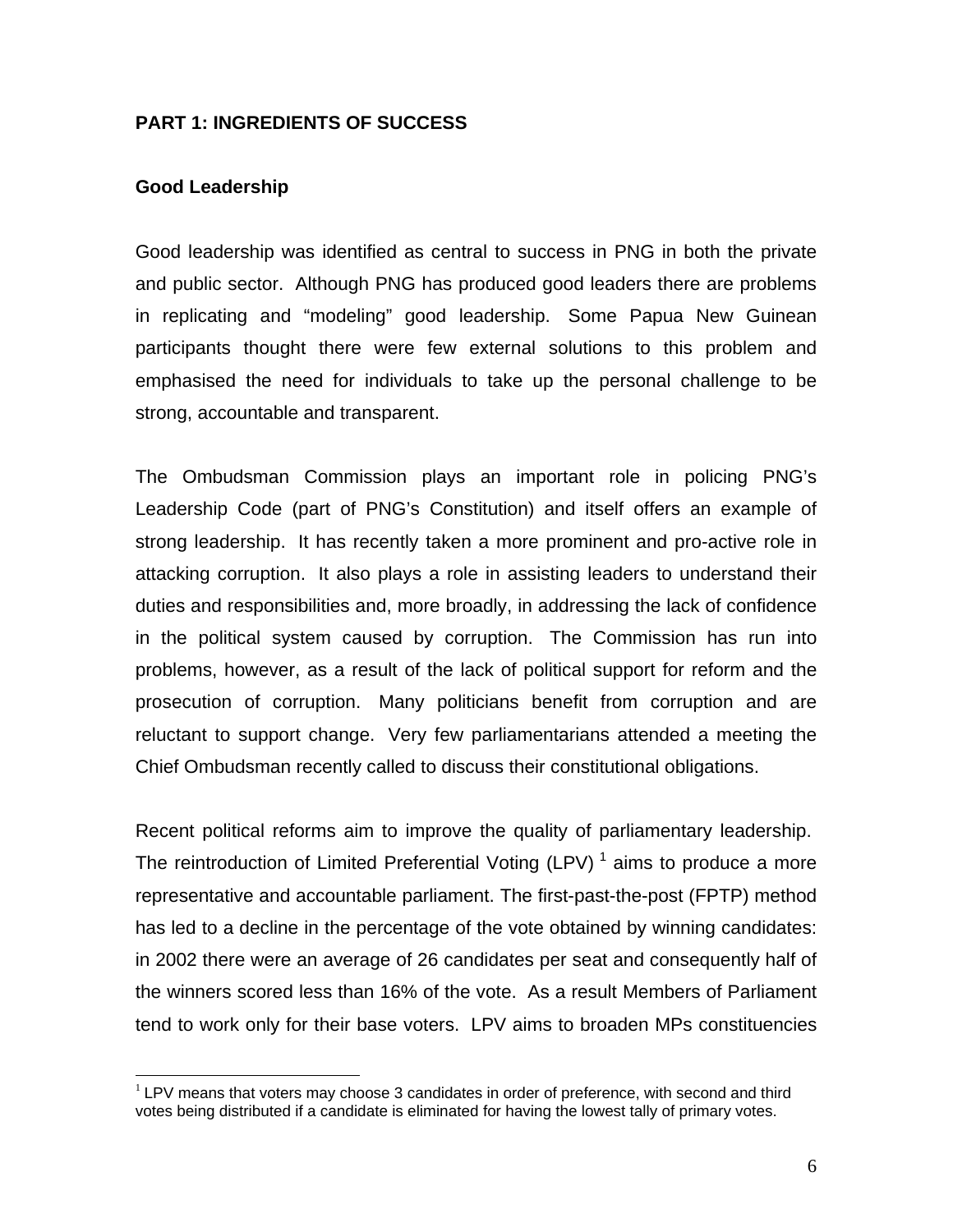### **PART 1: INGREDIENTS OF SUCCESS**

#### **Good Leadership**

 $\overline{a}$ 

Good leadership was identified as central to success in PNG in both the private and public sector. Although PNG has produced good leaders there are problems in replicating and "modeling" good leadership. Some Papua New Guinean participants thought there were few external solutions to this problem and emphasised the need for individuals to take up the personal challenge to be strong, accountable and transparent.

The Ombudsman Commission plays an important role in policing PNG's Leadership Code (part of PNG's Constitution) and itself offers an example of strong leadership. It has recently taken a more prominent and pro-active role in attacking corruption. It also plays a role in assisting leaders to understand their duties and responsibilities and, more broadly, in addressing the lack of confidence in the political system caused by corruption. The Commission has run into problems, however, as a result of the lack of political support for reform and the prosecution of corruption. Many politicians benefit from corruption and are reluctant to support change. Very few parliamentarians attended a meeting the Chief Ombudsman recently called to discuss their constitutional obligations.

Recent political reforms aim to improve the quality of parliamentary leadership. The reintroduction of Limited Preferential Voting  $(LPV)^{-1}$  aims to produce a more representative and accountable parliament. The first-past-the-post (FPTP) method has led to a decline in the percentage of the vote obtained by winning candidates: in 2002 there were an average of 26 candidates per seat and consequently half of the winners scored less than 16% of the vote. As a result Members of Parliament tend to work only for their base voters. LPV aims to broaden MPs constituencies

<span id="page-5-0"></span> $<sup>1</sup>$  LPV means that voters may choose 3 candidates in order of preference, with second and third</sup> votes being distributed if a candidate is eliminated for having the lowest tally of primary votes.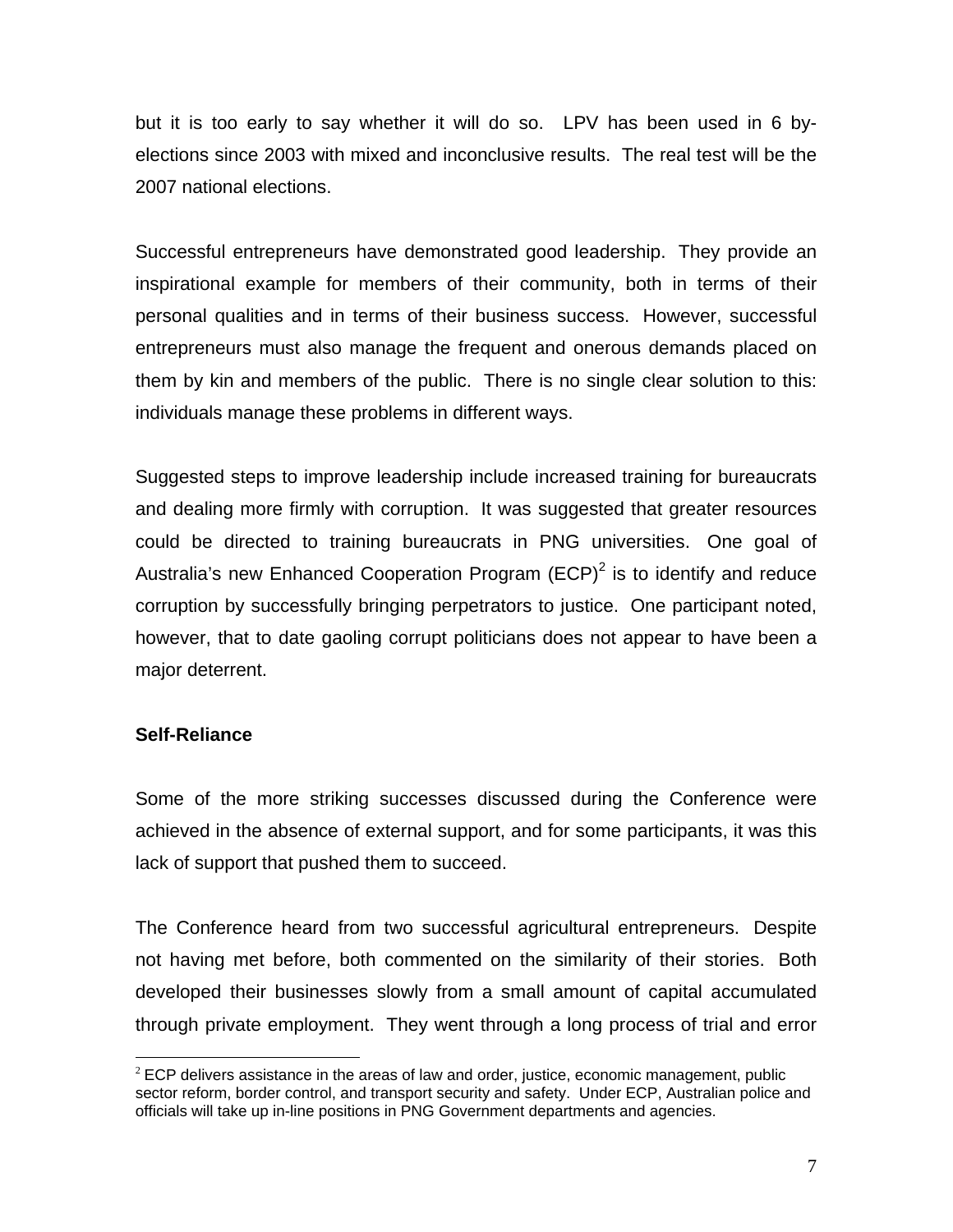but it is too early to say whether it will do so. LPV has been used in 6 byelections since 2003 with mixed and inconclusive results. The real test will be the 2007 national elections.

Successful entrepreneurs have demonstrated good leadership. They provide an inspirational example for members of their community, both in terms of their personal qualities and in terms of their business success. However, successful entrepreneurs must also manage the frequent and onerous demands placed on them by kin and members of the public. There is no single clear solution to this: individuals manage these problems in different ways.

Suggested steps to improve leadership include increased training for bureaucrats and dealing more firmly with corruption. It was suggested that greater resources could be directed to training bureaucrats in PNG universities. One goal of Australia's new Enhanced Cooperation Program (ECP)<sup>[2](#page-6-0)</sup> is to identify and reduce corruption by successfully bringing perpetrators to justice. One participant noted, however, that to date gaoling corrupt politicians does not appear to have been a major deterrent.

# **Self-Reliance**

Some of the more striking successes discussed during the Conference were achieved in the absence of external support, and for some participants, it was this lack of support that pushed them to succeed.

The Conference heard from two successful agricultural entrepreneurs. Despite not having met before, both commented on the similarity of their stories. Both developed their businesses slowly from a small amount of capital accumulated through private employment. They went through a long process of trial and error

<span id="page-6-0"></span> $\overline{a}$  $2$  ECP delivers assistance in the areas of law and order, justice, economic management, public sector reform, border control, and transport security and safety. Under ECP, Australian police and officials will take up in-line positions in PNG Government departments and agencies.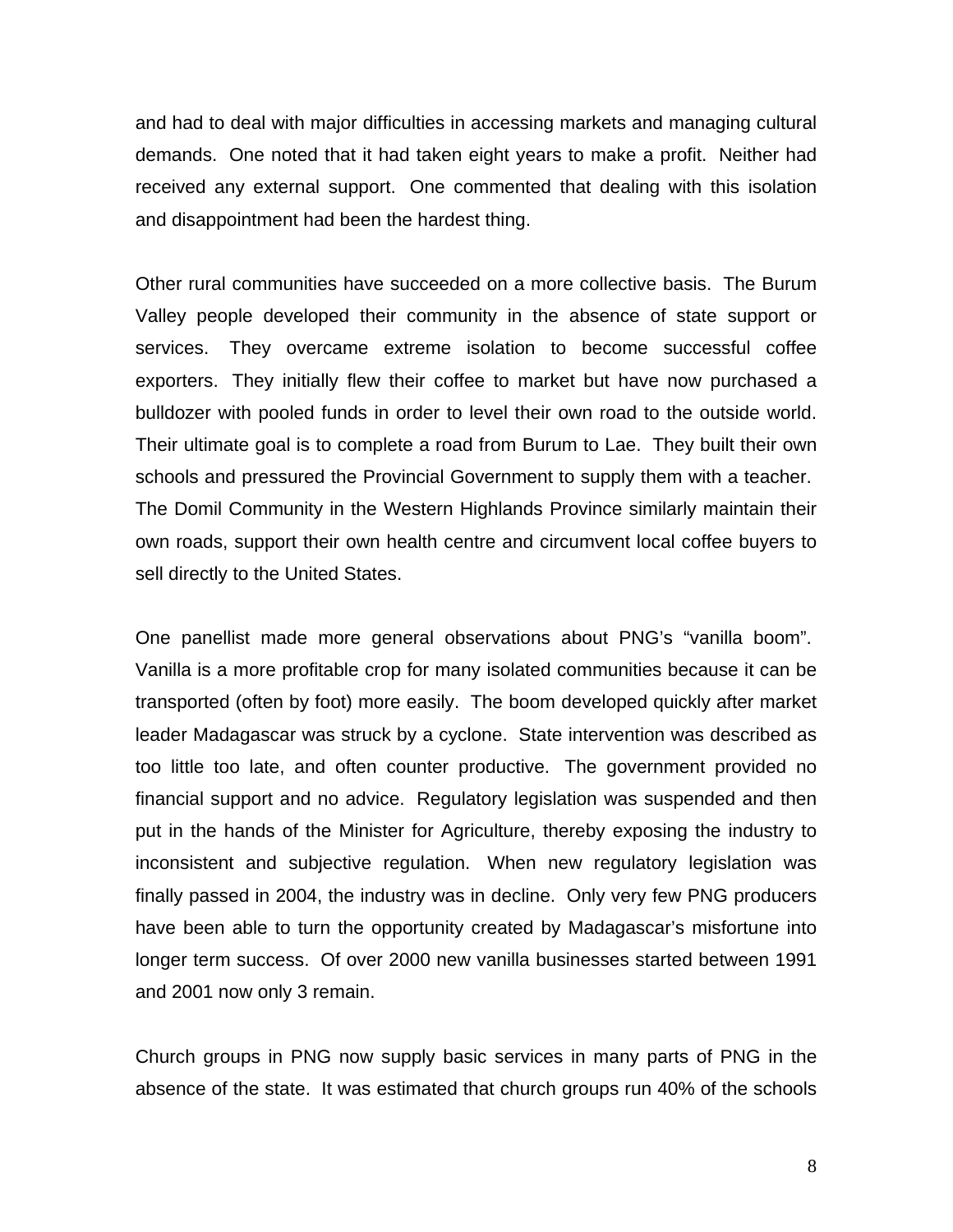and had to deal with major difficulties in accessing markets and managing cultural demands. One noted that it had taken eight years to make a profit. Neither had received any external support. One commented that dealing with this isolation and disappointment had been the hardest thing.

Other rural communities have succeeded on a more collective basis. The Burum Valley people developed their community in the absence of state support or services. They overcame extreme isolation to become successful coffee exporters. They initially flew their coffee to market but have now purchased a bulldozer with pooled funds in order to level their own road to the outside world. Their ultimate goal is to complete a road from Burum to Lae. They built their own schools and pressured the Provincial Government to supply them with a teacher. The Domil Community in the Western Highlands Province similarly maintain their own roads, support their own health centre and circumvent local coffee buyers to sell directly to the United States.

One panellist made more general observations about PNG's "vanilla boom". Vanilla is a more profitable crop for many isolated communities because it can be transported (often by foot) more easily. The boom developed quickly after market leader Madagascar was struck by a cyclone. State intervention was described as too little too late, and often counter productive. The government provided no financial support and no advice. Regulatory legislation was suspended and then put in the hands of the Minister for Agriculture, thereby exposing the industry to inconsistent and subjective regulation. When new regulatory legislation was finally passed in 2004, the industry was in decline. Only very few PNG producers have been able to turn the opportunity created by Madagascar's misfortune into longer term success. Of over 2000 new vanilla businesses started between 1991 and 2001 now only 3 remain.

Church groups in PNG now supply basic services in many parts of PNG in the absence of the state. It was estimated that church groups run 40% of the schools

8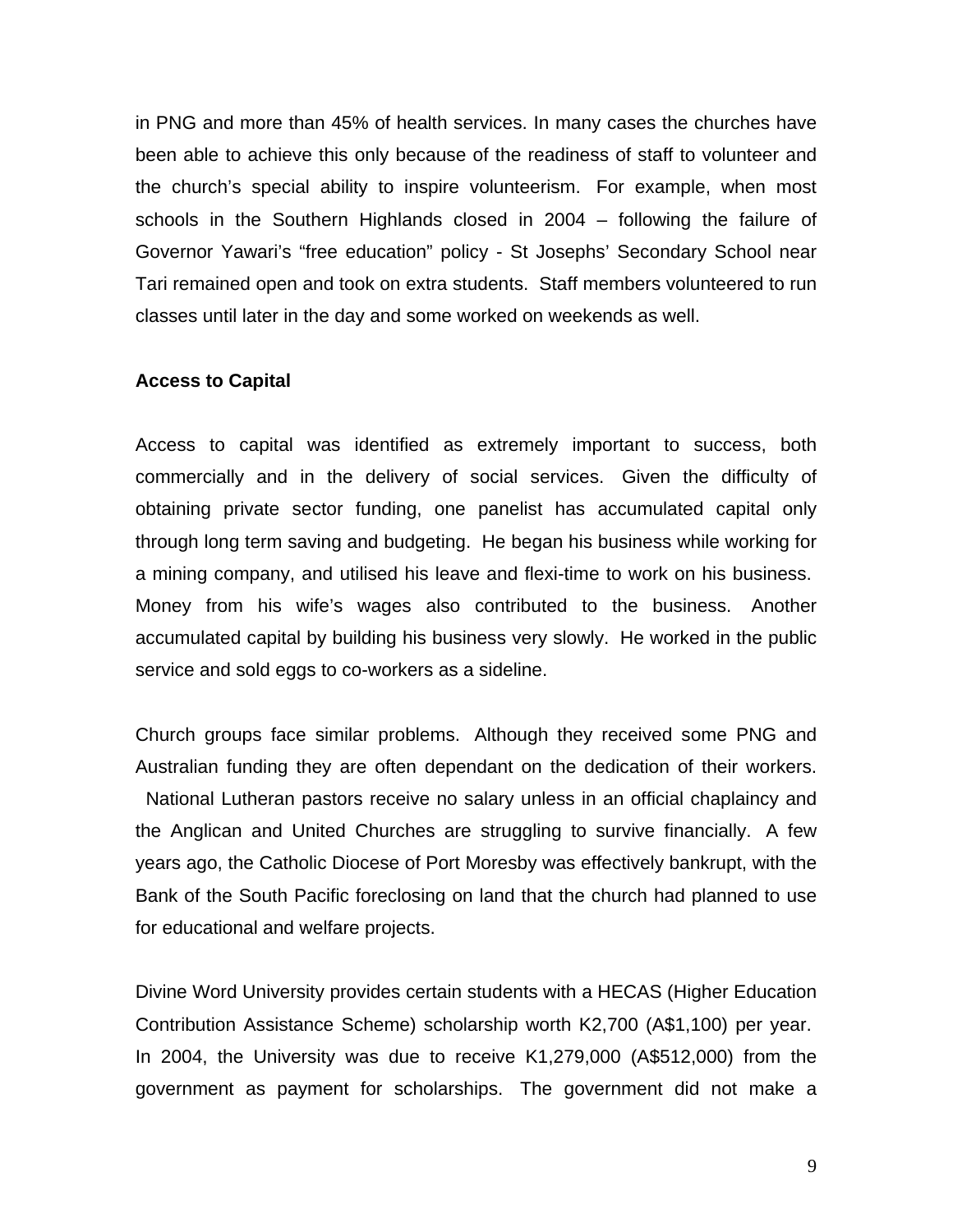in PNG and more than 45% of health services. In many cases the churches have been able to achieve this only because of the readiness of staff to volunteer and the church's special ability to inspire volunteerism. For example, when most schools in the Southern Highlands closed in 2004 – following the failure of Governor Yawari's "free education" policy - St Josephs' Secondary School near Tari remained open and took on extra students. Staff members volunteered to run classes until later in the day and some worked on weekends as well.

#### **Access to Capital**

Access to capital was identified as extremely important to success, both commercially and in the delivery of social services. Given the difficulty of obtaining private sector funding, one panelist has accumulated capital only through long term saving and budgeting. He began his business while working for a mining company, and utilised his leave and flexi-time to work on his business. Money from his wife's wages also contributed to the business. Another accumulated capital by building his business very slowly. He worked in the public service and sold eggs to co-workers as a sideline.

Church groups face similar problems. Although they received some PNG and Australian funding they are often dependant on the dedication of their workers. National Lutheran pastors receive no salary unless in an official chaplaincy and the Anglican and United Churches are struggling to survive financially. A few years ago, the Catholic Diocese of Port Moresby was effectively bankrupt, with the Bank of the South Pacific foreclosing on land that the church had planned to use for educational and welfare projects.

Divine Word University provides certain students with a HECAS (Higher Education Contribution Assistance Scheme) scholarship worth K2,700 (A\$1,100) per year. In 2004, the University was due to receive K1,279,000 (A\$512,000) from the government as payment for scholarships. The government did not make a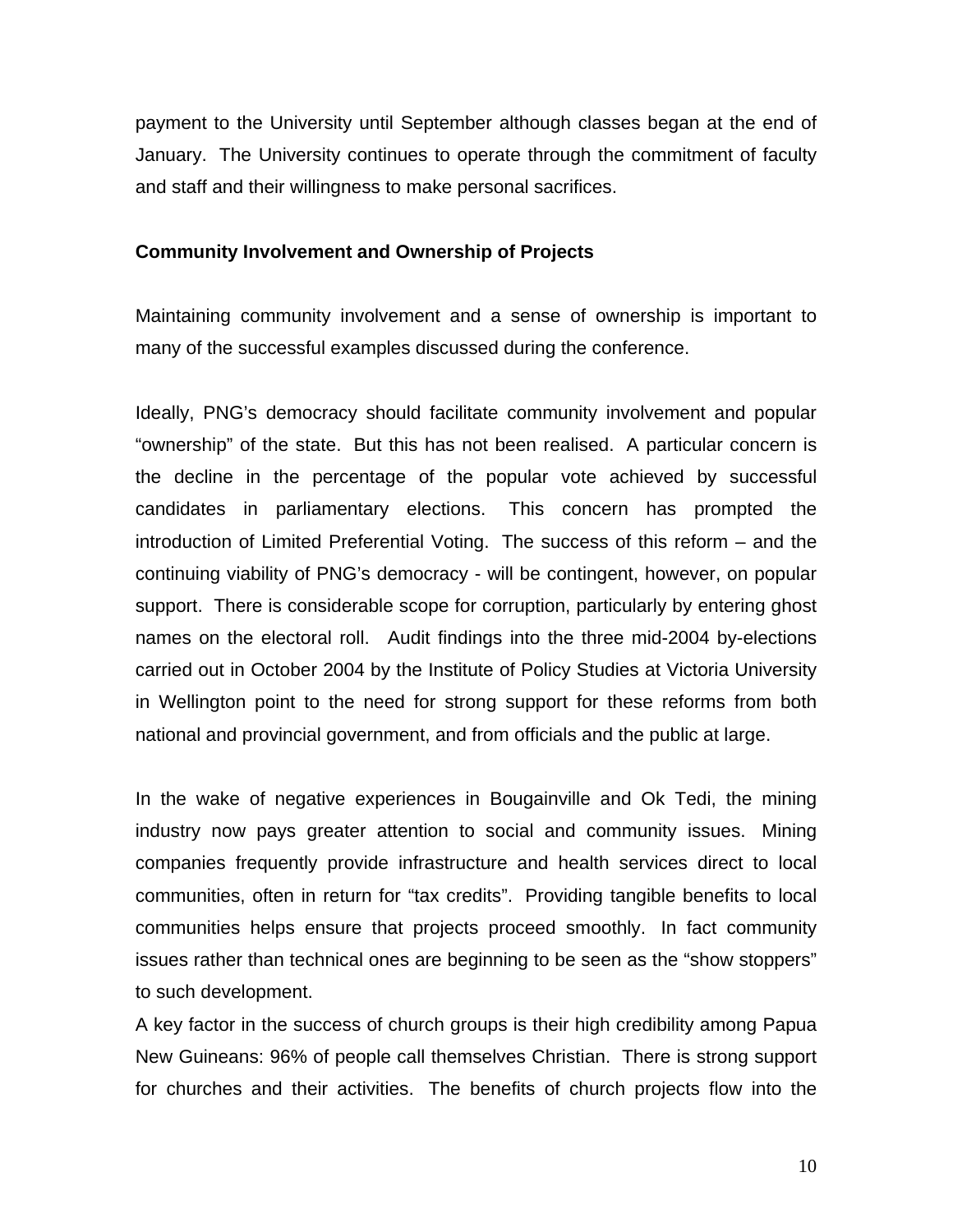payment to the University until September although classes began at the end of January. The University continues to operate through the commitment of faculty and staff and their willingness to make personal sacrifices.

### **Community Involvement and Ownership of Projects**

Maintaining community involvement and a sense of ownership is important to many of the successful examples discussed during the conference.

Ideally, PNG's democracy should facilitate community involvement and popular "ownership" of the state. But this has not been realised. A particular concern is the decline in the percentage of the popular vote achieved by successful candidates in parliamentary elections. This concern has prompted the introduction of Limited Preferential Voting. The success of this reform – and the continuing viability of PNG's democracy - will be contingent, however, on popular support. There is considerable scope for corruption, particularly by entering ghost names on the electoral roll. Audit findings into the three mid-2004 by-elections carried out in October 2004 by the Institute of Policy Studies at Victoria University in Wellington point to the need for strong support for these reforms from both national and provincial government, and from officials and the public at large.

In the wake of negative experiences in Bougainville and Ok Tedi, the mining industry now pays greater attention to social and community issues. Mining companies frequently provide infrastructure and health services direct to local communities, often in return for "tax credits". Providing tangible benefits to local communities helps ensure that projects proceed smoothly. In fact community issues rather than technical ones are beginning to be seen as the "show stoppers" to such development.

A key factor in the success of church groups is their high credibility among Papua New Guineans: 96% of people call themselves Christian. There is strong support for churches and their activities. The benefits of church projects flow into the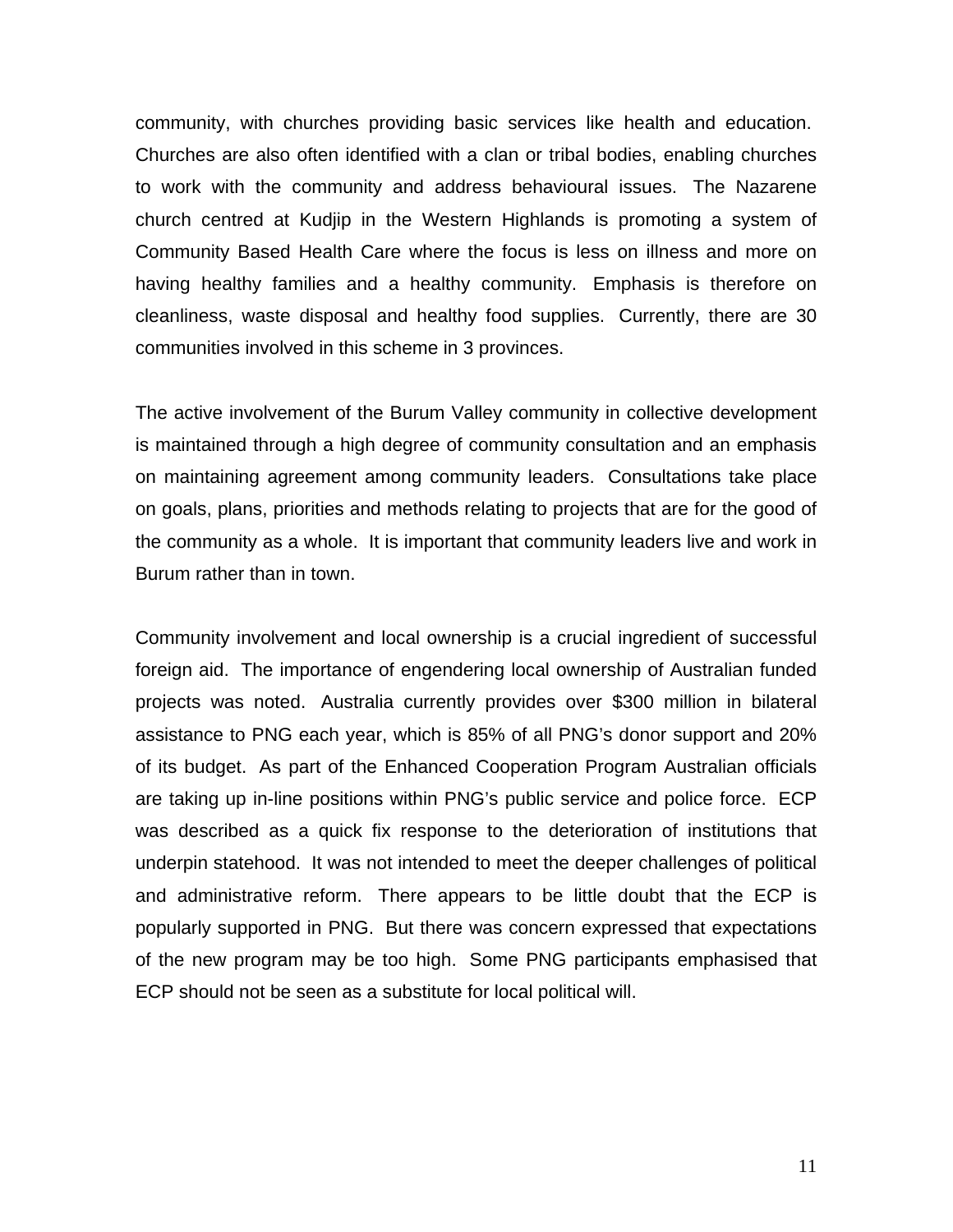community, with churches providing basic services like health and education. Churches are also often identified with a clan or tribal bodies, enabling churches to work with the community and address behavioural issues. The Nazarene church centred at Kudjip in the Western Highlands is promoting a system of Community Based Health Care where the focus is less on illness and more on having healthy families and a healthy community. Emphasis is therefore on cleanliness, waste disposal and healthy food supplies. Currently, there are 30 communities involved in this scheme in 3 provinces.

The active involvement of the Burum Valley community in collective development is maintained through a high degree of community consultation and an emphasis on maintaining agreement among community leaders. Consultations take place on goals, plans, priorities and methods relating to projects that are for the good of the community as a whole. It is important that community leaders live and work in Burum rather than in town.

Community involvement and local ownership is a crucial ingredient of successful foreign aid. The importance of engendering local ownership of Australian funded projects was noted. Australia currently provides over \$300 million in bilateral assistance to PNG each year, which is 85% of all PNG's donor support and 20% of its budget. As part of the Enhanced Cooperation Program Australian officials are taking up in-line positions within PNG's public service and police force. ECP was described as a quick fix response to the deterioration of institutions that underpin statehood. It was not intended to meet the deeper challenges of political and administrative reform. There appears to be little doubt that the ECP is popularly supported in PNG. But there was concern expressed that expectations of the new program may be too high. Some PNG participants emphasised that ECP should not be seen as a substitute for local political will.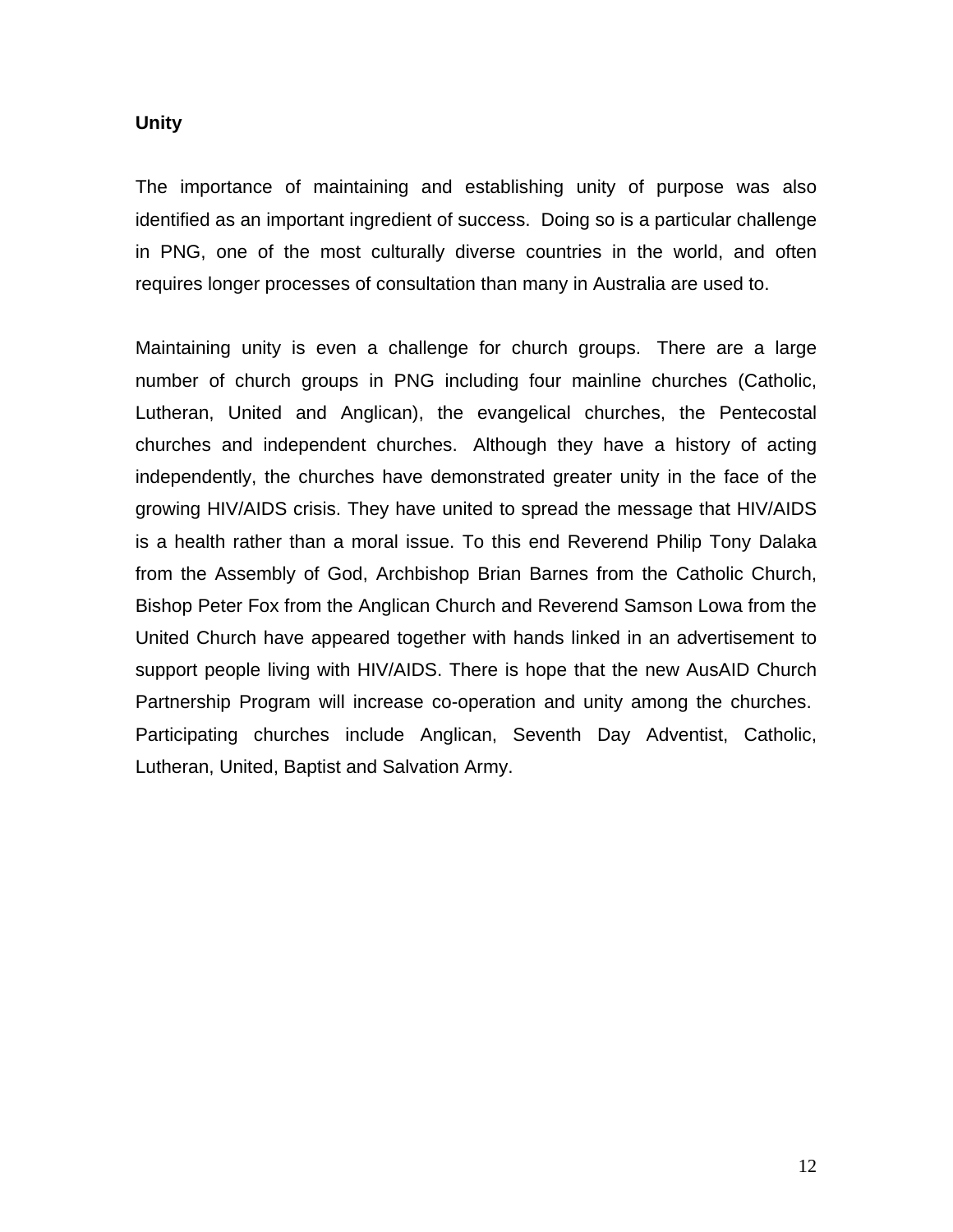### **Unity**

The importance of maintaining and establishing unity of purpose was also identified as an important ingredient of success. Doing so is a particular challenge in PNG, one of the most culturally diverse countries in the world, and often requires longer processes of consultation than many in Australia are used to.

Maintaining unity is even a challenge for church groups. There are a large number of church groups in PNG including four mainline churches (Catholic, Lutheran, United and Anglican), the evangelical churches, the Pentecostal churches and independent churches. Although they have a history of acting independently, the churches have demonstrated greater unity in the face of the growing HIV/AIDS crisis. They have united to spread the message that HIV/AIDS is a health rather than a moral issue. To this end Reverend Philip Tony Dalaka from the Assembly of God, Archbishop Brian Barnes from the Catholic Church, Bishop Peter Fox from the Anglican Church and Reverend Samson Lowa from the United Church have appeared together with hands linked in an advertisement to support people living with HIV/AIDS. There is hope that the new AusAID Church Partnership Program will increase co-operation and unity among the churches. Participating churches include Anglican, Seventh Day Adventist, Catholic, Lutheran, United, Baptist and Salvation Army.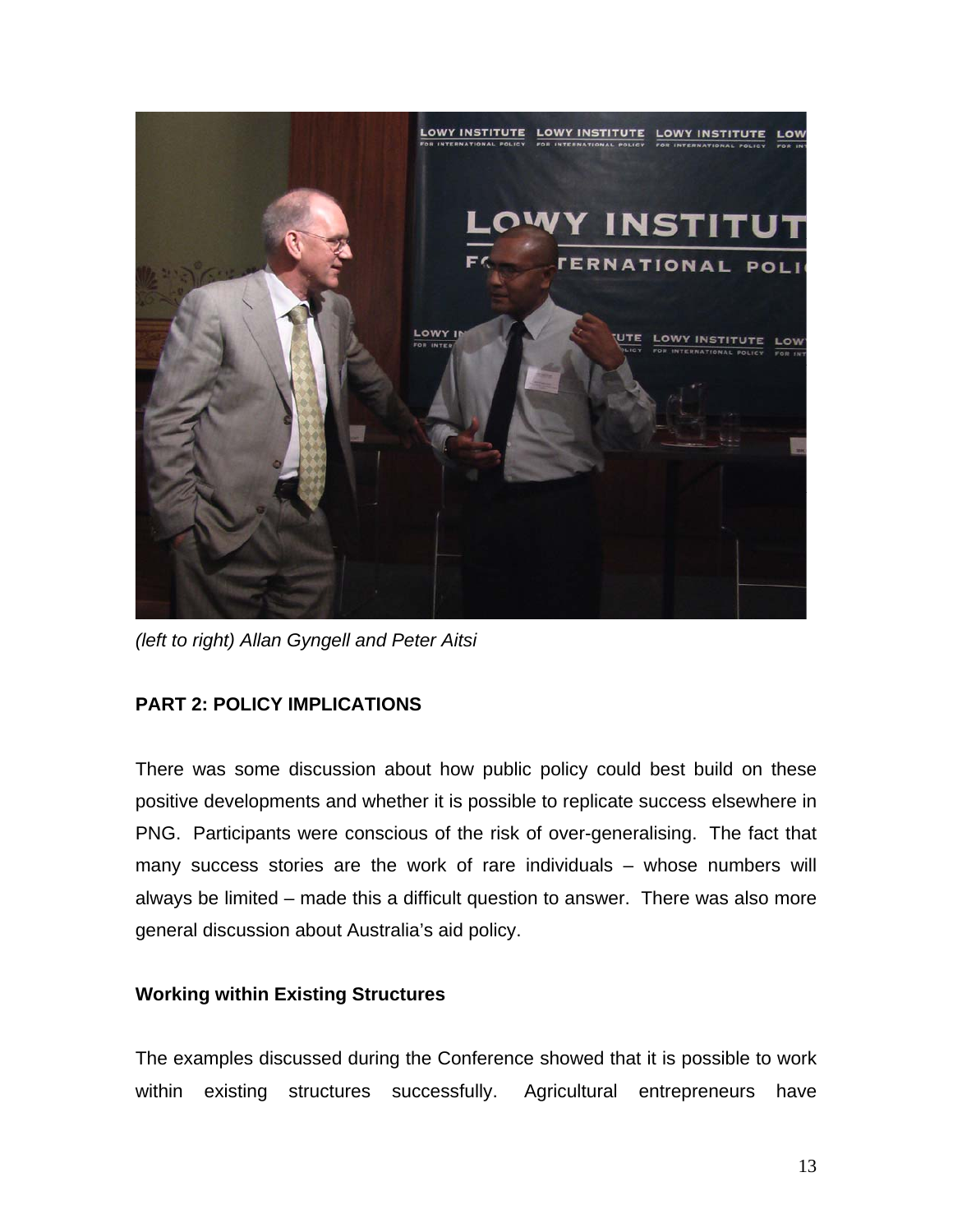

*(left to right) Allan Gyngell and Peter Aitsi*

# **PART 2: POLICY IMPLICATIONS**

There was some discussion about how public policy could best build on these positive developments and whether it is possible to replicate success elsewhere in PNG. Participants were conscious of the risk of over-generalising. The fact that many success stories are the work of rare individuals – whose numbers will always be limited – made this a difficult question to answer. There was also more general discussion about Australia's aid policy.

# **Working within Existing Structures**

The examples discussed during the Conference showed that it is possible to work within existing structures successfully. Agricultural entrepreneurs have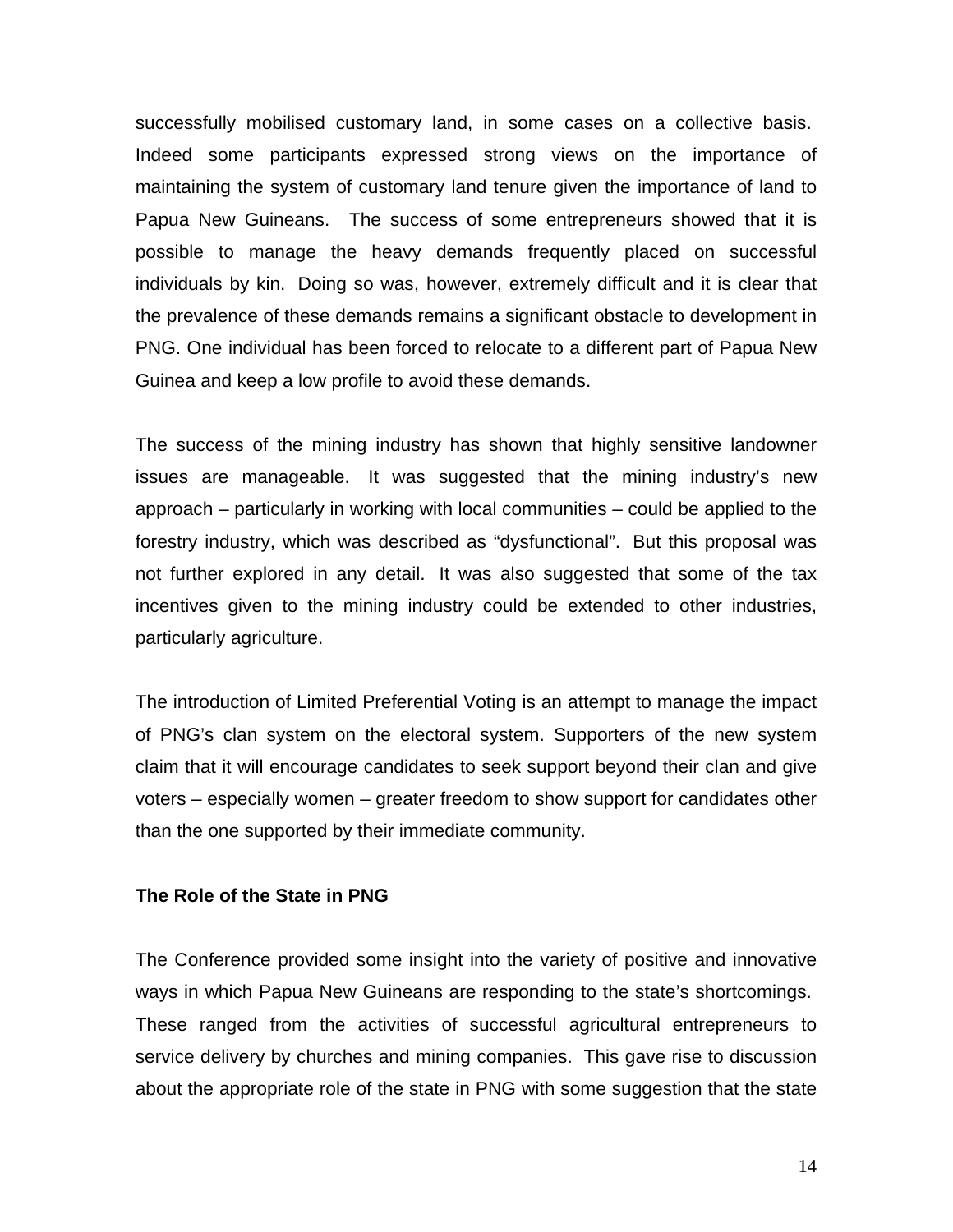successfully mobilised customary land, in some cases on a collective basis. Indeed some participants expressed strong views on the importance of maintaining the system of customary land tenure given the importance of land to Papua New Guineans. The success of some entrepreneurs showed that it is possible to manage the heavy demands frequently placed on successful individuals by kin. Doing so was, however, extremely difficult and it is clear that the prevalence of these demands remains a significant obstacle to development in PNG. One individual has been forced to relocate to a different part of Papua New Guinea and keep a low profile to avoid these demands.

The success of the mining industry has shown that highly sensitive landowner issues are manageable. It was suggested that the mining industry's new approach – particularly in working with local communities – could be applied to the forestry industry, which was described as "dysfunctional". But this proposal was not further explored in any detail. It was also suggested that some of the tax incentives given to the mining industry could be extended to other industries, particularly agriculture.

The introduction of Limited Preferential Voting is an attempt to manage the impact of PNG's clan system on the electoral system. Supporters of the new system claim that it will encourage candidates to seek support beyond their clan and give voters – especially women – greater freedom to show support for candidates other than the one supported by their immediate community.

### **The Role of the State in PNG**

The Conference provided some insight into the variety of positive and innovative ways in which Papua New Guineans are responding to the state's shortcomings. These ranged from the activities of successful agricultural entrepreneurs to service delivery by churches and mining companies. This gave rise to discussion about the appropriate role of the state in PNG with some suggestion that the state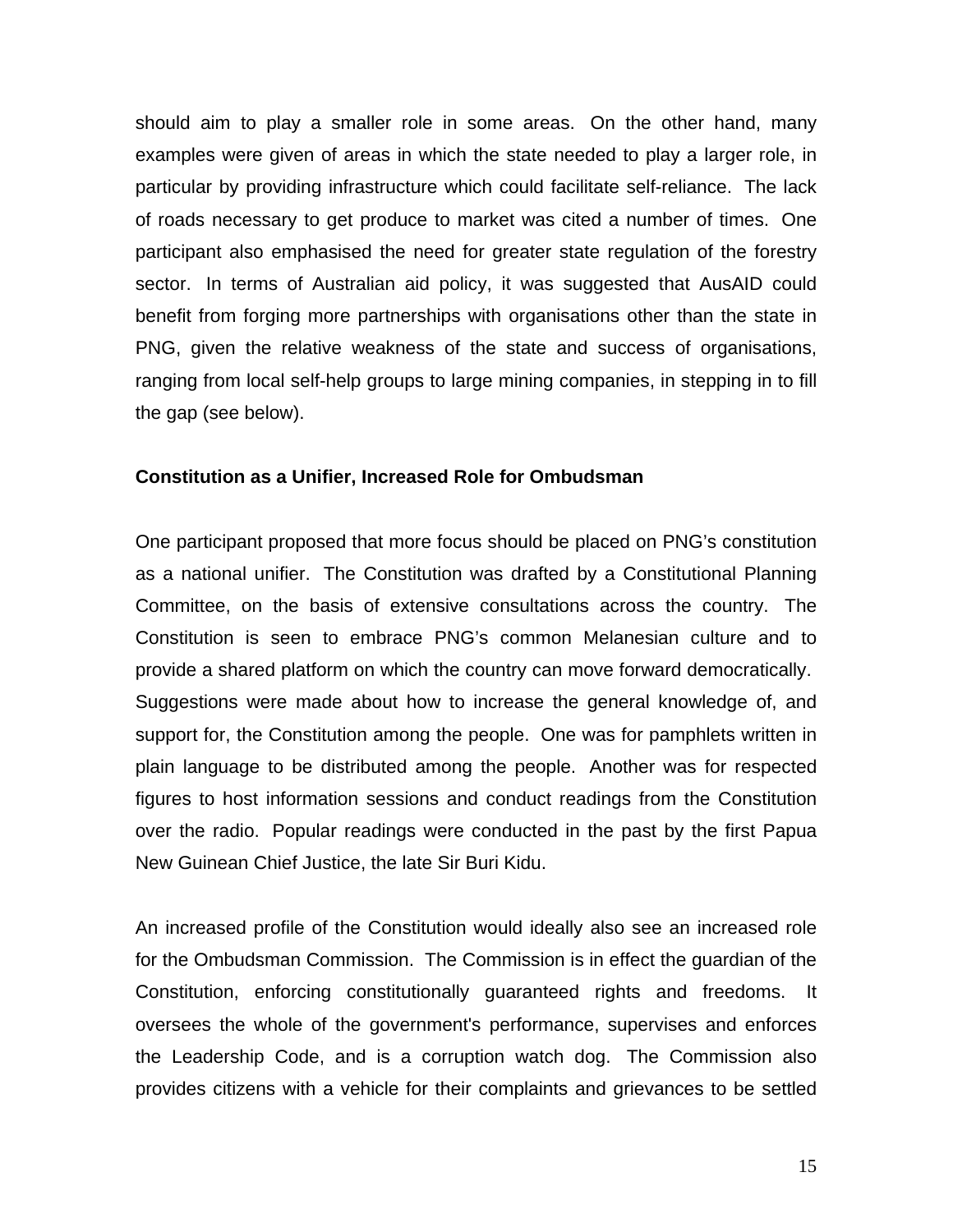should aim to play a smaller role in some areas. On the other hand, many examples were given of areas in which the state needed to play a larger role, in particular by providing infrastructure which could facilitate self-reliance. The lack of roads necessary to get produce to market was cited a number of times. One participant also emphasised the need for greater state regulation of the forestry sector. In terms of Australian aid policy, it was suggested that AusAID could benefit from forging more partnerships with organisations other than the state in PNG, given the relative weakness of the state and success of organisations, ranging from local self-help groups to large mining companies, in stepping in to fill the gap (see below).

### **Constitution as a Unifier, Increased Role for Ombudsman**

One participant proposed that more focus should be placed on PNG's constitution as a national unifier. The Constitution was drafted by a Constitutional Planning Committee, on the basis of extensive consultations across the country. The Constitution is seen to embrace PNG's common Melanesian culture and to provide a shared platform on which the country can move forward democratically. Suggestions were made about how to increase the general knowledge of, and support for, the Constitution among the people. One was for pamphlets written in plain language to be distributed among the people. Another was for respected figures to host information sessions and conduct readings from the Constitution over the radio. Popular readings were conducted in the past by the first Papua New Guinean Chief Justice, the late Sir Buri Kidu.

An increased profile of the Constitution would ideally also see an increased role for the Ombudsman Commission. The Commission is in effect the guardian of the Constitution, enforcing constitutionally guaranteed rights and freedoms. It oversees the whole of the government's performance, supervises and enforces the Leadership Code, and is a corruption watch dog. The Commission also provides citizens with a vehicle for their complaints and grievances to be settled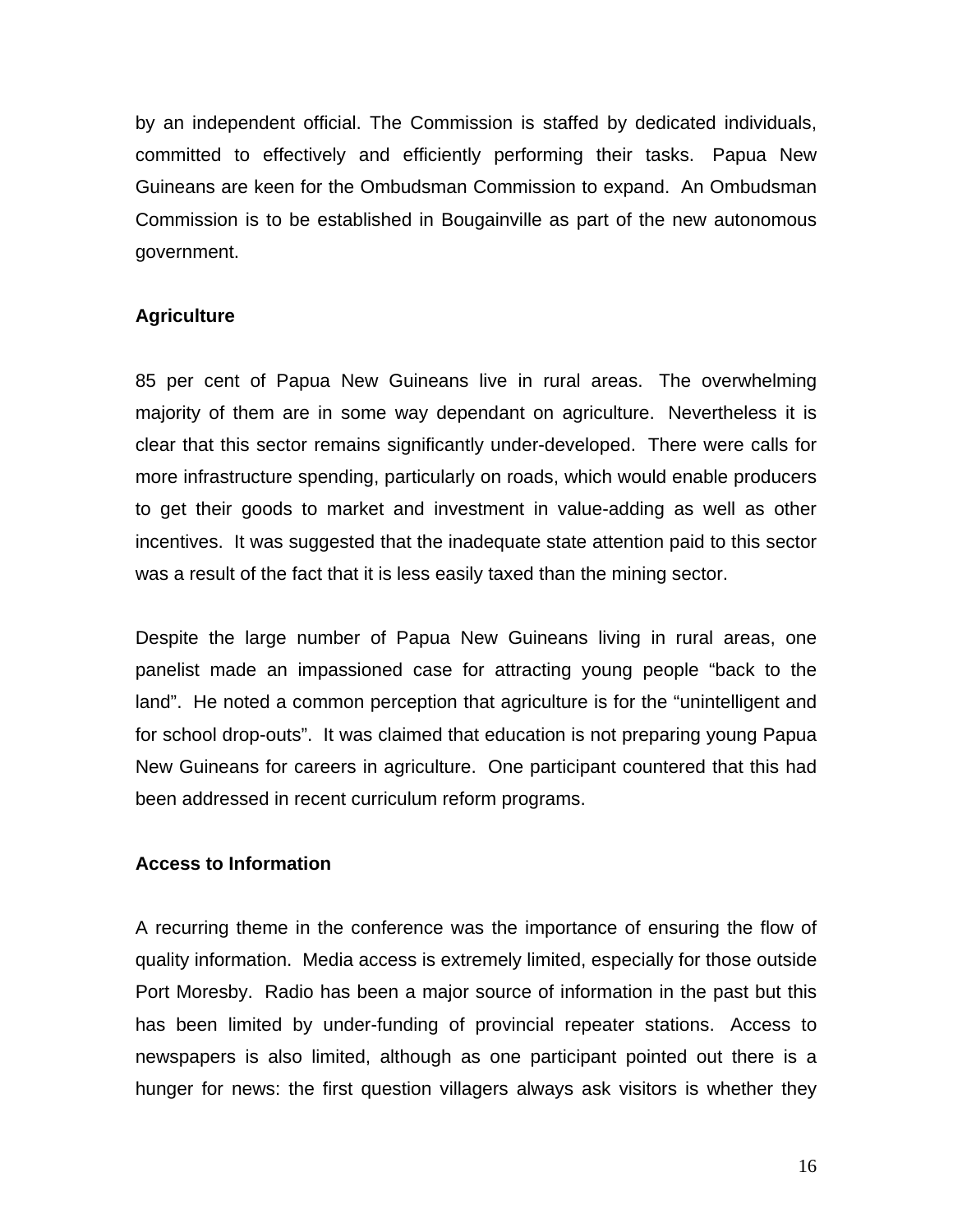by an independent official. The Commission is staffed by dedicated individuals, committed to effectively and efficiently performing their tasks. Papua New Guineans are keen for the Ombudsman Commission to expand. An Ombudsman Commission is to be established in Bougainville as part of the new autonomous government.

## **Agriculture**

85 per cent of Papua New Guineans live in rural areas. The overwhelming majority of them are in some way dependant on agriculture. Nevertheless it is clear that this sector remains significantly under-developed. There were calls for more infrastructure spending, particularly on roads, which would enable producers to get their goods to market and investment in value-adding as well as other incentives. It was suggested that the inadequate state attention paid to this sector was a result of the fact that it is less easily taxed than the mining sector.

Despite the large number of Papua New Guineans living in rural areas, one panelist made an impassioned case for attracting young people "back to the land". He noted a common perception that agriculture is for the "unintelligent and for school drop-outs". It was claimed that education is not preparing young Papua New Guineans for careers in agriculture. One participant countered that this had been addressed in recent curriculum reform programs.

## **Access to Information**

A recurring theme in the conference was the importance of ensuring the flow of quality information. Media access is extremely limited, especially for those outside Port Moresby. Radio has been a major source of information in the past but this has been limited by under-funding of provincial repeater stations. Access to newspapers is also limited, although as one participant pointed out there is a hunger for news: the first question villagers always ask visitors is whether they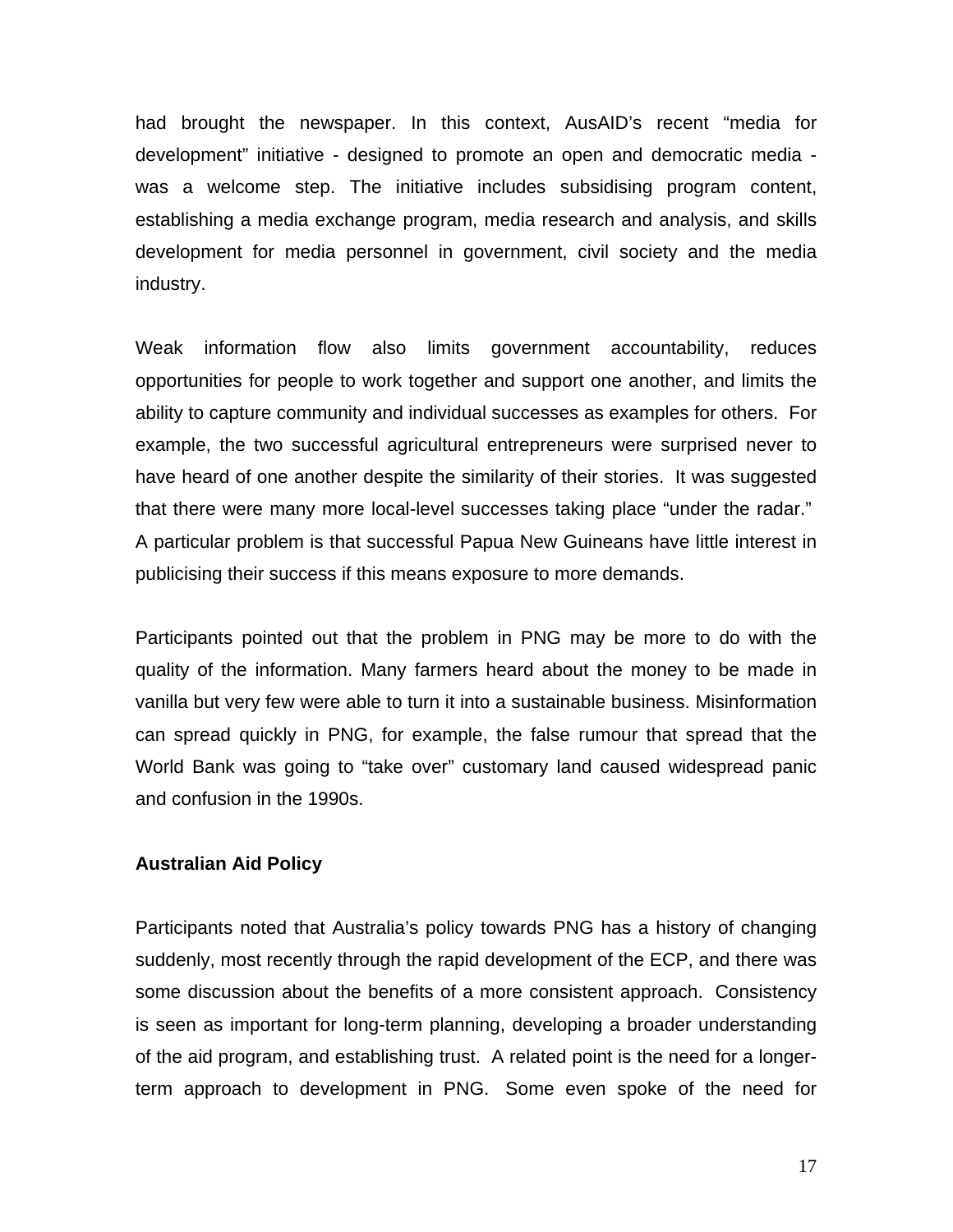had brought the newspaper. In this context, AusAID's recent "media for development" initiative - designed to promote an open and democratic media was a welcome step. The initiative includes subsidising program content, establishing a media exchange program, media research and analysis, and skills development for media personnel in government, civil society and the media industry.

Weak information flow also limits government accountability, reduces opportunities for people to work together and support one another, and limits the ability to capture community and individual successes as examples for others. For example, the two successful agricultural entrepreneurs were surprised never to have heard of one another despite the similarity of their stories. It was suggested that there were many more local-level successes taking place "under the radar." A particular problem is that successful Papua New Guineans have little interest in publicising their success if this means exposure to more demands.

Participants pointed out that the problem in PNG may be more to do with the quality of the information. Many farmers heard about the money to be made in vanilla but very few were able to turn it into a sustainable business. Misinformation can spread quickly in PNG, for example, the false rumour that spread that the World Bank was going to "take over" customary land caused widespread panic and confusion in the 1990s.

## **Australian Aid Policy**

Participants noted that Australia's policy towards PNG has a history of changing suddenly, most recently through the rapid development of the ECP, and there was some discussion about the benefits of a more consistent approach. Consistency is seen as important for long-term planning, developing a broader understanding of the aid program, and establishing trust. A related point is the need for a longerterm approach to development in PNG. Some even spoke of the need for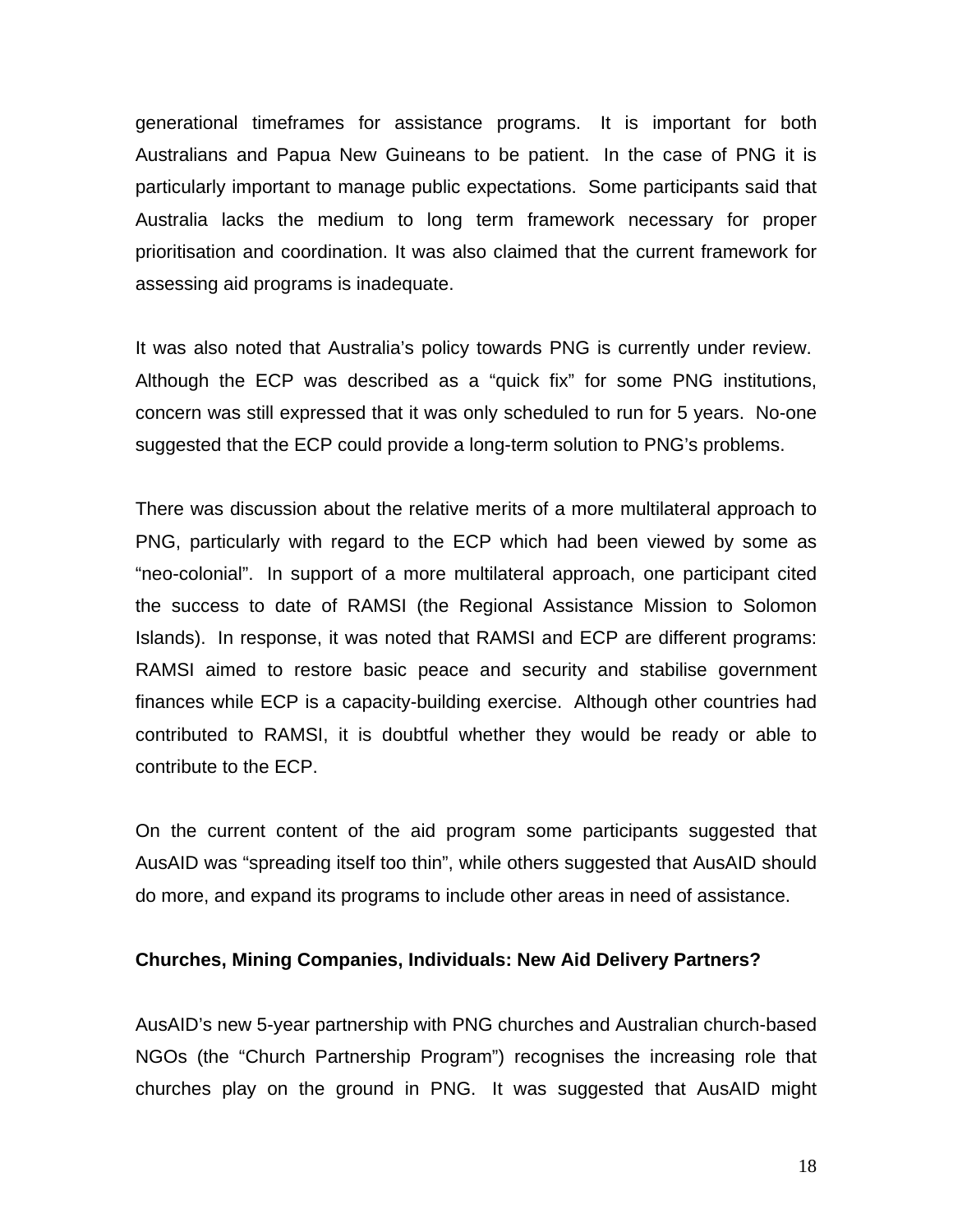generational timeframes for assistance programs. It is important for both Australians and Papua New Guineans to be patient. In the case of PNG it is particularly important to manage public expectations. Some participants said that Australia lacks the medium to long term framework necessary for proper prioritisation and coordination. It was also claimed that the current framework for assessing aid programs is inadequate.

It was also noted that Australia's policy towards PNG is currently under review. Although the ECP was described as a "quick fix" for some PNG institutions, concern was still expressed that it was only scheduled to run for 5 years. No-one suggested that the ECP could provide a long-term solution to PNG's problems.

There was discussion about the relative merits of a more multilateral approach to PNG, particularly with regard to the ECP which had been viewed by some as "neo-colonial". In support of a more multilateral approach, one participant cited the success to date of RAMSI (the Regional Assistance Mission to Solomon Islands). In response, it was noted that RAMSI and ECP are different programs: RAMSI aimed to restore basic peace and security and stabilise government finances while ECP is a capacity-building exercise. Although other countries had contributed to RAMSI, it is doubtful whether they would be ready or able to contribute to the ECP.

On the current content of the aid program some participants suggested that AusAID was "spreading itself too thin", while others suggested that AusAID should do more, and expand its programs to include other areas in need of assistance.

### **Churches, Mining Companies, Individuals: New Aid Delivery Partners?**

AusAID's new 5-year partnership with PNG churches and Australian church-based NGOs (the "Church Partnership Program") recognises the increasing role that churches play on the ground in PNG. It was suggested that AusAID might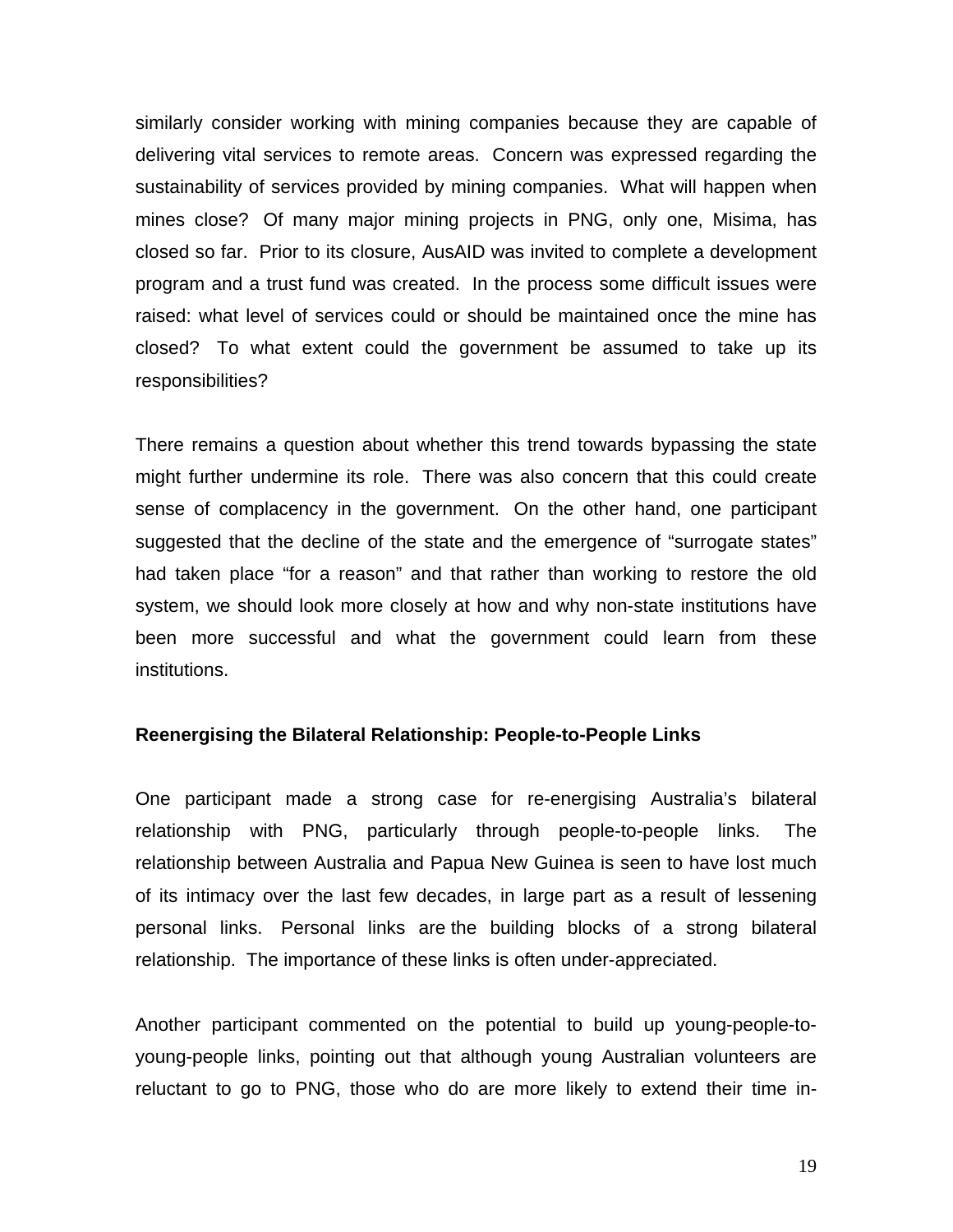similarly consider working with mining companies because they are capable of delivering vital services to remote areas. Concern was expressed regarding the sustainability of services provided by mining companies. What will happen when mines close? Of many major mining projects in PNG, only one, Misima, has closed so far. Prior to its closure, AusAID was invited to complete a development program and a trust fund was created. In the process some difficult issues were raised: what level of services could or should be maintained once the mine has closed? To what extent could the government be assumed to take up its responsibilities?

There remains a question about whether this trend towards bypassing the state might further undermine its role. There was also concern that this could create sense of complacency in the government. On the other hand, one participant suggested that the decline of the state and the emergence of "surrogate states" had taken place "for a reason" and that rather than working to restore the old system, we should look more closely at how and why non-state institutions have been more successful and what the government could learn from these institutions.

#### **Reenergising the Bilateral Relationship: People-to-People Links**

One participant made a strong case for re-energising Australia's bilateral relationship with PNG, particularly through people-to-people links. The relationship between Australia and Papua New Guinea is seen to have lost much of its intimacy over the last few decades, in large part as a result of lessening personal links. Personal links are the building blocks of a strong bilateral relationship. The importance of these links is often under-appreciated.

Another participant commented on the potential to build up young-people-toyoung-people links, pointing out that although young Australian volunteers are reluctant to go to PNG, those who do are more likely to extend their time in-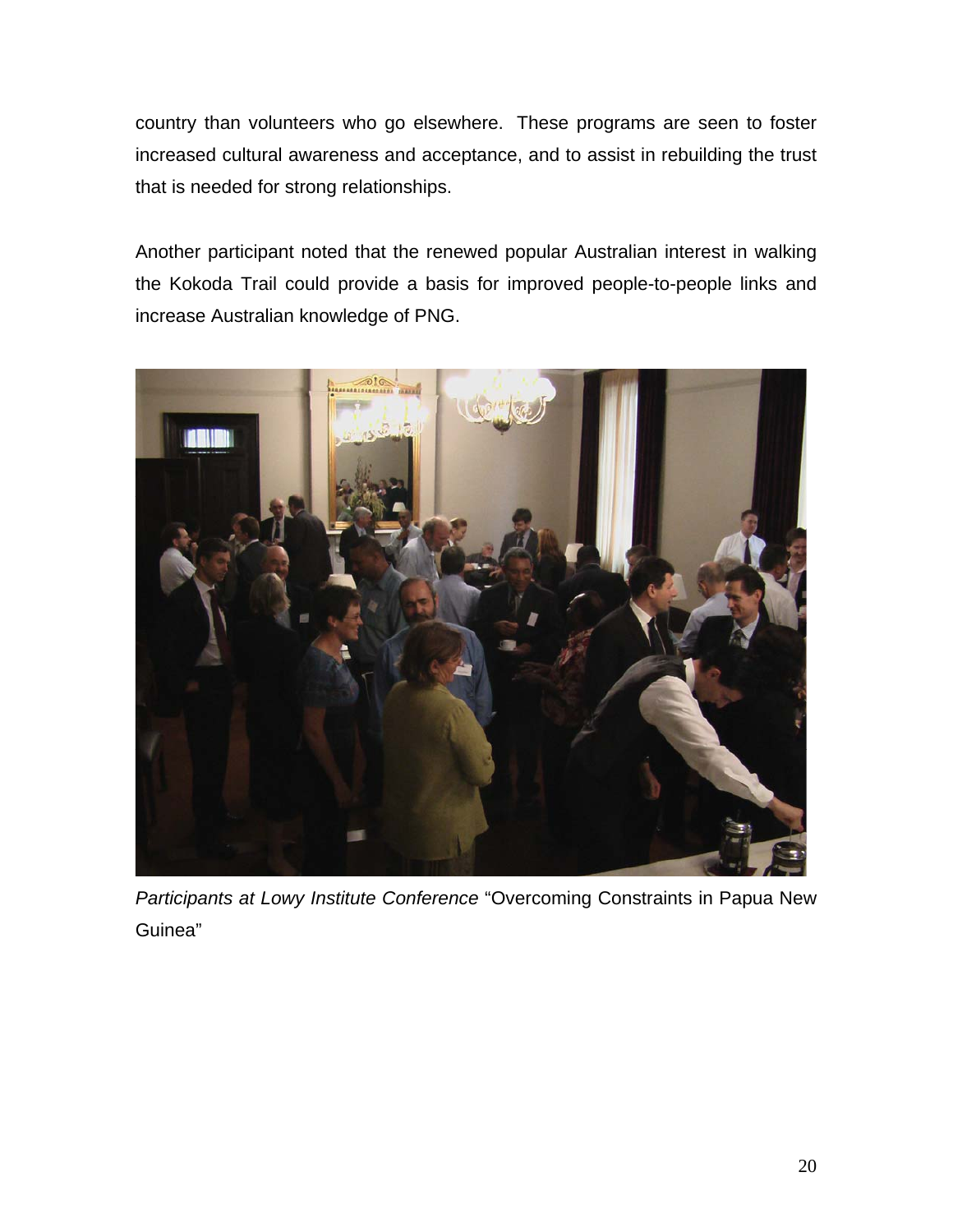country than volunteers who go elsewhere. These programs are seen to foster increased cultural awareness and acceptance, and to assist in rebuilding the trust that is needed for strong relationships.

Another participant noted that the renewed popular Australian interest in walking the Kokoda Trail could provide a basis for improved people-to-people links and increase Australian knowledge of PNG.



*Participants at Lowy Institute Conference* "Overcoming Constraints in Papua New Guinea"